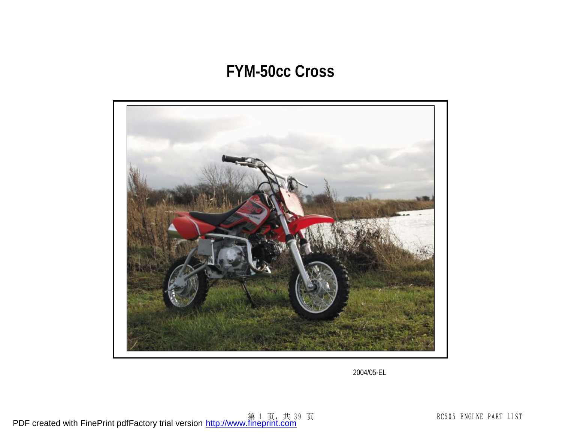## **FYM-50cc Cross**



2004/05-EL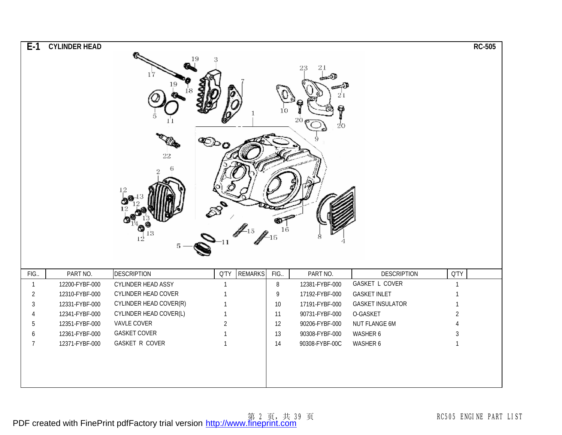| $E-1$          | <b>CYLINDER HEAD</b> | 22<br>13<br>$12^{\overline{2}}$ | 19<br>ື້               | -15    | 21<br>21<br>φ<br>20<br>20 |                         | <b>RC-505</b>  |
|----------------|----------------------|---------------------------------|------------------------|--------|---------------------------|-------------------------|----------------|
| FIG.           | PART NO.             | <b>DESCRIPTION</b>              | <b>REMARKS</b><br>Q'TY | FIG.   | PART NO.                  | <b>DESCRIPTION</b>      | Q'TY           |
| $\mathbf{1}$   | 12200-FYBF-000       | <b>CYLINDER HEAD ASSY</b>       | $\mathbf{1}$           | $\, 8$ | 12381-FYBF-000            | <b>GASKET L COVER</b>   | $\overline{1}$ |
| $\overline{2}$ | 12310-FYBF-000       | CYLINDER HEAD COVER             | $\mathbf{1}$           | 9      | 17192-FYBF-000            | <b>GASKET INLET</b>     | $\overline{1}$ |
| 3              | 12331-FYBF-000       | CYLINDER HEAD COVER(R)          | $\mathbf{1}$           | $10\,$ | 17191-FYBF-000            | <b>GASKET INSULATOR</b> | $\overline{1}$ |
| 4              | 12341-FYBF-000       | CYLINDER HEAD COVER(L)          | $\mathbf{1}$           | 11     | 90731-FYBF-000            | O-GASKET                | $\overline{2}$ |
| 5              | 12351-FYBF-000       | VAVLE COVER                     | $\overline{2}$         | 12     | 90206-FYBF-000            | NUT FLANGE 6M           | 4              |
| 6              | 12361-FYBF-000       | <b>GASKET COVER</b>             | $\mathbf{1}$           | 13     | 90308-FYBF-000            | WASHER 6                | $\sqrt{3}$     |
| $\overline{7}$ | 12371-FYBF-000       | <b>GASKET R COVER</b>           | $\mathbf{1}$           | 14     | 90308-FYBF-00C            | WASHER 6                | $\mathbf{1}$   |
|                |                      |                                 |                        |        |                           |                         |                |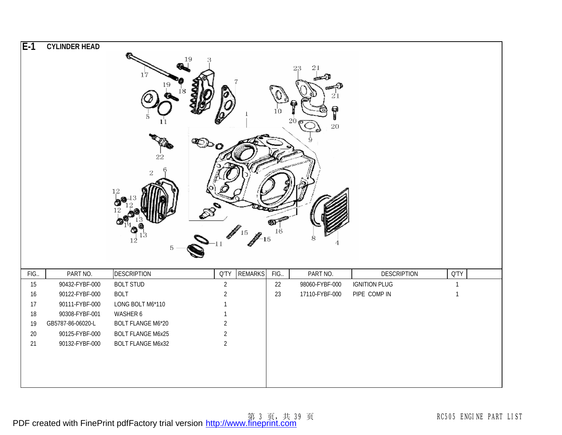| $E-1$ | <b>CYLINDER HEAD</b> |                          |                |                |      |                |                      |              |  |
|-------|----------------------|--------------------------|----------------|----------------|------|----------------|----------------------|--------------|--|
|       |                      |                          | 19             |                |      |                |                      |              |  |
|       |                      |                          |                |                |      | 21             |                      |              |  |
|       |                      |                          |                |                |      |                |                      |              |  |
|       |                      |                          |                |                |      |                |                      |              |  |
|       |                      |                          |                |                |      |                |                      |              |  |
|       |                      |                          |                |                |      | Î              |                      |              |  |
|       |                      |                          |                |                |      | 2<br>$20\,$    |                      |              |  |
|       |                      |                          |                |                |      |                |                      |              |  |
|       |                      |                          |                |                |      |                |                      |              |  |
|       |                      | 22                       |                |                |      |                |                      |              |  |
|       |                      | 2                        |                |                |      |                |                      |              |  |
|       |                      |                          |                |                |      |                |                      |              |  |
|       |                      | 12                       |                |                |      |                |                      |              |  |
|       |                      |                          |                |                |      |                |                      |              |  |
|       |                      |                          |                |                |      |                |                      |              |  |
|       |                      |                          |                |                |      |                |                      |              |  |
|       |                      | 12                       |                | 15             | 16   |                |                      |              |  |
|       |                      | 5                        |                |                |      |                |                      |              |  |
|       |                      |                          |                |                |      |                |                      |              |  |
| FIG.  | PART NO.             | <b>DESCRIPTION</b>       | <b>Q'TY</b>    | <b>REMARKS</b> | FIG. | PART NO.       | <b>DESCRIPTION</b>   | <b>Q'TY</b>  |  |
| 15    | 90432-FYBF-000       | <b>BOLT STUD</b>         | $\overline{2}$ |                | 22   | 98060-FYBF-000 | <b>IGNITION PLUG</b> | $\mathbf{1}$ |  |
| 16    | 90122-FYBF-000       | <b>BOLT</b>              | $\overline{2}$ |                | 23   | 17110-FYBF-000 | PIPE COMP IN         | $\mathbf{1}$ |  |
| 17    | 90111-FYBF-000       | LONG BOLT M6*110         | $\mathbf{1}$   |                |      |                |                      |              |  |
| 18    | 90308-FYBF-001       | WASHER 6                 | $\mathbf{1}$   |                |      |                |                      |              |  |
| 19    | GB5787-86-06020-L    | <b>BOLT FLANGE M6*20</b> | $\overline{2}$ |                |      |                |                      |              |  |
| 20    | 90125-FYBF-000       | <b>BOLT FLANGE M6x25</b> | $\overline{2}$ |                |      |                |                      |              |  |
| 21    | 90132-FYBF-000       | <b>BOLT FLANGE M6x32</b> | $\overline{2}$ |                |      |                |                      |              |  |
|       |                      |                          |                |                |      |                |                      |              |  |
|       |                      |                          |                |                |      |                |                      |              |  |
|       |                      |                          |                |                |      |                |                      |              |  |
|       |                      |                          |                |                |      |                |                      |              |  |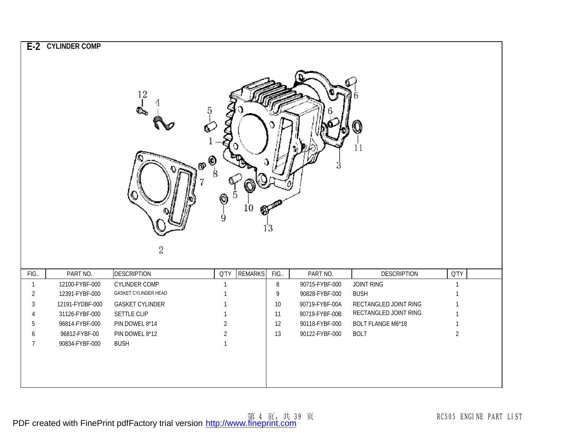|                     | E-2 CYLINDER COMP                 | $^{12}$<br>ခု<br>ூ<br>2                      | $^\copyright$<br>8<br>⊚<br>9 | 5<br>10        | 13          |                                  |                                      |                      |
|---------------------|-----------------------------------|----------------------------------------------|------------------------------|----------------|-------------|----------------------------------|--------------------------------------|----------------------|
| FIG.                | PART NO.                          | <b>DESCRIPTION</b>                           | Q'TY                         | <b>REMARKS</b> | FIG.        | PART NO.                         | <b>DESCRIPTION</b>                   | Q'TY                 |
| $\overline{1}$      | 12100-FYBF-000                    | <b>CYLINDER COMP</b><br>GASKET CYLINDER HEAD | $\mathbf{1}$                 |                | $\, 8$      | 90715-FYBF-000                   | JOINT RING                           | $\overline{1}$       |
| $\overline{2}$<br>3 | 12391-FYBF-000<br>12191-FYDBF-000 | <b>GASKET CYLINDER</b>                       | $\mathbf{1}$<br>$\mathbf{1}$ |                | 9<br>$10\,$ | 90828-FYBF-000<br>90719-FYBF-00A | <b>BUSH</b><br>RECTANGLED JOINT RING | -1<br>$\overline{1}$ |
| 4                   | 31126-FYBF-000                    | SETTLE CLIP                                  | $\mathbf{1}$                 |                | 11          | 90719-FYBF-00B                   | RECTANGLED JOINT RING                | $\overline{1}$       |
| 5                   | 96814-FYBF-000                    | PIN DOWEL 8*14                               | $\overline{2}$               |                | 12          | 90118-FYBF-000                   | <b>BOLT FLANGE M6*18</b>             | $\mathbf{1}$         |
| 6                   | 96812-FYBF-00                     | PIN DOWEL 8*12                               | $\overline{2}$               |                | 13          | 90122-FYBF-000                   | <b>BOLT</b>                          | $\overline{2}$       |
| $\overline{7}$      | 90834-FYBF-000                    | <b>BUSH</b>                                  | $\mathbf{1}$                 |                |             |                                  |                                      |                      |
|                     |                                   |                                              |                              |                |             |                                  |                                      |                      |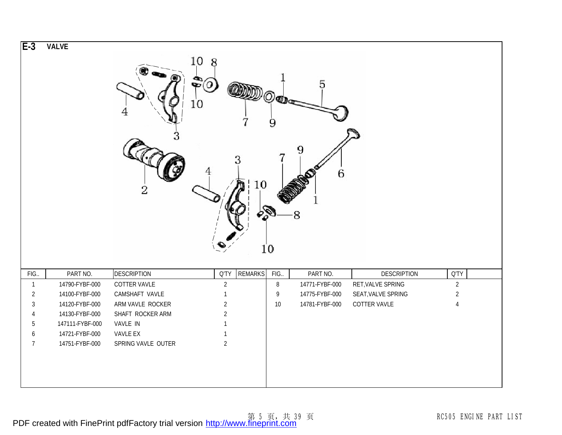| $E-3$          | <b>VALVE</b>    | 10 8<br>$\clubsuitledcirc$<br>10<br>2 |                | 10<br><b>PRI</b> | 9<br>10 | 5<br>6<br>8    |                    |                |
|----------------|-----------------|---------------------------------------|----------------|------------------|---------|----------------|--------------------|----------------|
| FIG.           | PART NO.        | <b>DESCRIPTION</b>                    | <b>Q'TY</b>    | <b>REMARKS</b>   | FIG.    | PART NO.       | <b>DESCRIPTION</b> | Q'TY           |
| $\overline{1}$ | 14790-FYBF-000  | COTTER VAVLE                          | $\overline{2}$ |                  | $\, 8$  | 14771-FYBF-000 | RET, VALVE SPRING  | $\overline{2}$ |
| $\overline{2}$ | 14100-FYBF-000  | CAMSHAFT VAVLE                        | $\mathbf{1}$   |                  | 9       | 14775-FYBF-000 | SEAT, VALVE SPRING | $\overline{a}$ |
| 3              | 14120-FYBF-000  | ARM VAVLE ROCKER                      | $\overline{2}$ |                  | $10\,$  | 14781-FYBF-000 | COTTER VAVLE       | $\overline{4}$ |
| 4              | 14130-FYBF-000  | SHAFT ROCKER ARM                      | $\overline{2}$ |                  |         |                |                    |                |
| 5              | 147111-FYBF-000 | VAVLE IN                              | $\mathbf{1}$   |                  |         |                |                    |                |
| 6              | 14721-FYBF-000  | VAVLE EX                              | $\mathbf{1}$   |                  |         |                |                    |                |
| $\overline{7}$ | 14751-FYBF-000  | SPRING VAVLE OUTER                    | $\overline{2}$ |                  |         |                |                    |                |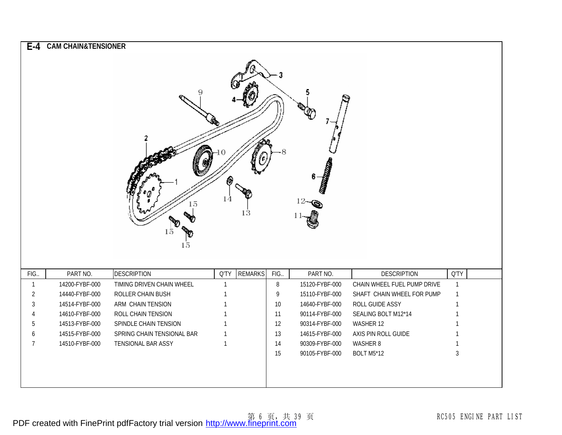| $E-4$          | <b>CAM CHAIN&amp;TENSIONER</b> | 15<br>15<br>$15\,$         | (G<br>14     | 13             |        | <b>Controlling Controlling Controlling Controlling Controlling Controlling Controlling Controlling Controlling Co</b><br>6 |                             |                |
|----------------|--------------------------------|----------------------------|--------------|----------------|--------|----------------------------------------------------------------------------------------------------------------------------|-----------------------------|----------------|
| FIG.           | PART NO.                       | <b>DESCRIPTION</b>         | Q'TY         | <b>REMARKS</b> | FIG.   | PART NO.                                                                                                                   | <b>DESCRIPTION</b>          | Q'TY           |
| $\mathbf{1}$   | 14200-FYBF-000                 | TIMING DRIVEN CHAIN WHEEL  | $\mathbf{1}$ |                | 8      | 15120-FYBF-000                                                                                                             | CHAIN WHEEL FUEL PUMP DRIVE | $\overline{1}$ |
| $\overline{2}$ | 14440-FYBF-000                 | ROLLER CHAIN BUSH          | $\mathbf{1}$ |                | 9      | 15110-FYBF-000                                                                                                             | SHAFT CHAIN WHEEL FOR PUMP  | $\mathbf{1}$   |
| 3              | 14514-FYBF-000                 | ARM CHAIN TENSION          | $\mathbf{1}$ |                | $10\,$ | 14640-FYBF-000                                                                                                             | ROLL GUIDE ASSY             | $\mathbf 1$    |
| 4              | 14610-FYBF-000                 | ROLL CHAIN TENSION         | $\mathbf{1}$ |                | 11     | 90114-FYBF-000                                                                                                             | SEALING BOLT M12*14         | $\overline{1}$ |
| 5              | 14513-FYBF-000                 | SPINDLE CHAIN TENSION      | $\mathbf 1$  |                | 12     | 90314-FYBF-000                                                                                                             | WASHER 12                   | $\mathbf 1$    |
| 6              | 14515-FYBF-000                 | SPRING CHAIN TENSIONAL BAR | $\mathbf{1}$ |                | 13     | 14615-FYBF-000                                                                                                             | AXIS PIN ROLL GUIDE         | $\mathbf{1}$   |
| 7              | 14510-FYBF-000                 | TENSIONAL BAR ASSY         | $\mathbf{1}$ |                | 14     | 90309-FYBF-000                                                                                                             | WASHER 8                    | $\mathbf 1$    |
|                |                                |                            |              |                | 15     | 90105-FYBF-000                                                                                                             | BOLT M5*12                  | $\mathfrak{Z}$ |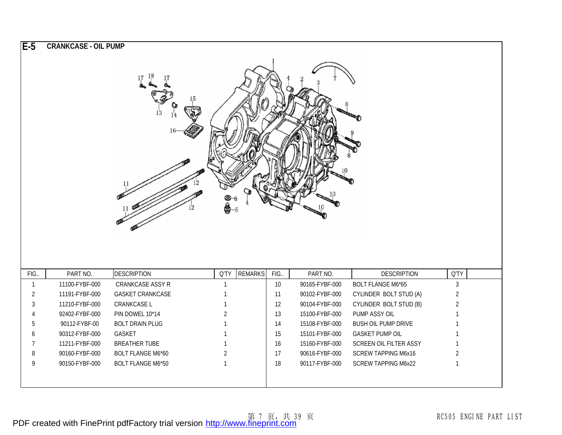| $E-5$          | <b>CRANKCASE - OIL PUMP</b> |                               |                |                |                 |                |                            |                |  |
|----------------|-----------------------------|-------------------------------|----------------|----------------|-----------------|----------------|----------------------------|----------------|--|
|                |                             | $\frac{17}{4}$ $\frac{18}{4}$ |                |                |                 |                |                            |                |  |
| FIG.           | PART NO.                    | <b>DESCRIPTION</b>            | Q'TY           | <b>REMARKS</b> | FIG.            | PART NO.       | <b>DESCRIPTION</b>         | Q'TY           |  |
| $\overline{1}$ | 11100-FYBF-000              | CRANKCASE ASSY R              | $\mathbf{1}$   |                | 10 <sup>°</sup> | 90165-FYBF-000 | <b>BOLT FLANGE M6*65</b>   | $\mathfrak{Z}$ |  |
| $\overline{2}$ | 11191-FYBF-000              | <b>GASKET CRANKCASE</b>       | 1              |                | 11              | 90102-FYBF-000 | CYLINDER BOLT STUD (A)     | $\overline{2}$ |  |
| 3              | 11210-FYBF-000              | CRANKCASE L                   | 1              |                | 12              | 90104-FYBF-000 | CYLINDER BOLT STUD (B)     | $\overline{2}$ |  |
|                | 92402-FYBF-000              | PIN DOWEL 10*14               | $\overline{2}$ |                | 13              | 15100-FYBF-000 | PUMP ASSY OIL              |                |  |
| 5              | 90112-FYBF-00               | <b>BOLT DRAIN PLUG</b>        |                |                | 14              | 15108-FYBF-000 | <b>BUSH OIL PUMP DRIVE</b> |                |  |
|                |                             |                               |                |                |                 |                |                            |                |  |
| 6              | 90312-FYBF-000              | GASKET                        |                |                | 15              | 15101-FYBF-000 | <b>GASKET PUMP OIL</b>     |                |  |
| 7              | 11211-FYBF-000              | <b>BREATHER TUBE</b>          | 1              |                | 16              | 15160-FYBF-000 | SCREEN OIL FILTER ASSY     | $\mathbf{1}$   |  |
| 8              | 90160-FYBF-000              | BOLT FLANGE M6*60             | $\overline{2}$ |                | 17              | 90616-FYBF-000 | <b>SCREW TAPPING M6x16</b> | $\overline{2}$ |  |
| 9              | 90150-FYBF-000              | <b>BOLT FLANGE M6*50</b>      | $\mathbf{1}$   |                | $18$            | 90117-FYBF-000 | <b>SCREW TAPPING M6x22</b> | $\mathbf{1}$   |  |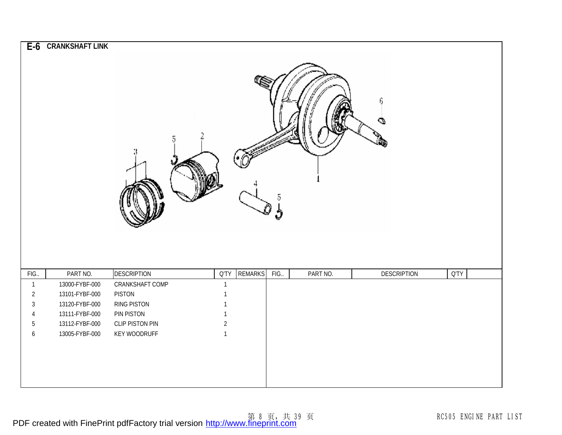| $E-6$                  | <b>CRANKSHAFT LINK</b>     | 5                                     |                             |                | 5         |          | 6<br>Φ             |         |  |
|------------------------|----------------------------|---------------------------------------|-----------------------------|----------------|-----------|----------|--------------------|---------|--|
| FIG.<br>$\overline{1}$ | PART NO.<br>13000-FYBF-000 | <b>DESCRIPTION</b><br>CRANKSHAFT COMP | <b>Q'TY</b><br>$\mathbf{1}$ | <b>REMARKS</b> | Î<br>FIG. | PART NO. | <b>DESCRIPTION</b> | $Q^T Y$ |  |
| $\overline{2}$         | 13101-FYBF-000             | <b>PISTON</b>                         | 1                           |                |           |          |                    |         |  |
| $\sqrt{3}$             | 13120-FYBF-000             | <b>RING PISTON</b>                    | $\mathbf{1}$                |                |           |          |                    |         |  |
| 4                      | 13111-FYBF-000             | PIN PISTON                            | $\mathbf{1}$                |                |           |          |                    |         |  |
| $5\,$                  | 13112-FYBF-000             | CLIP PISTON PIN                       | $\overline{2}$              |                |           |          |                    |         |  |
| $\boldsymbol{6}$       | 13005-FYBF-000             | <b>KEY WOODRUFF</b>                   | $\mathbf{1}$                |                |           |          |                    |         |  |
|                        |                            |                                       |                             |                |           |          |                    |         |  |
|                        |                            |                                       |                             |                |           |          |                    |         |  |
|                        |                            |                                       |                             |                |           |          |                    |         |  |
|                        |                            |                                       |                             |                |           |          |                    |         |  |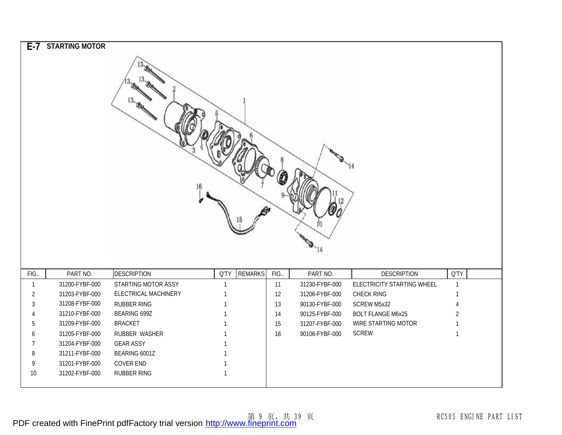|                | E-7 STARTING MOTOR |                      |              |                |      |                |                            |                |  |
|----------------|--------------------|----------------------|--------------|----------------|------|----------------|----------------------------|----------------|--|
|                |                    | $^{13}$ $\!\!$       |              |                |      |                |                            |                |  |
| FIG.           | PART NO.           | <b>DESCRIPTION</b>   | <b>Q'TY</b>  | <b>REMARKS</b> | FIG. | PART NO.       | <b>DESCRIPTION</b>         | <b>Q'TY</b>    |  |
| $\mathbf{1}$   | 31200-FYBF-000     | STARTING MOTOR ASSY  | $\mathbf{1}$ |                | 11   | 31230-FYBF-000 | ELECTRICITY STARTING WHEEL | $\mathbf{1}$   |  |
| $\overline{2}$ | 31203-FYBF-000     | ELECTRICAL MACHINERY |              |                | 12   | 31206-FYBF-000 | CHECK RING                 | $\mathbf{1}$   |  |
| 3              | 31208-FYBF-000     | <b>RUBBER RING</b>   |              |                | 13   | 90130-FYBF-000 | SCREW M5x32                | $\overline{4}$ |  |
| 4              | 31210-FYBF-000     | BEARING 699Z         |              |                | 14   | 90125-FYBF-000 | <b>BOLT FLANGE M6x25</b>   | $\overline{2}$ |  |
| 5              | 31209-FYBF-000     | <b>BRACKET</b>       |              |                | 15   | 31207-FYBF-000 | WIRE STARTING MOTOR        | $\mathbf{1}$   |  |
| 6              | 31205-FYBF-000     | RUBBER WASHER        |              |                | 16   | 90106-FYBF-000 | <b>SCREW</b>               | $\mathbf{1}$   |  |
| 7              | 31204-FYBF-000     | <b>GEAR ASSY</b>     |              |                |      |                |                            |                |  |
| 8              | 31211-FYBF-000     | BEARING 6001Z        |              |                |      |                |                            |                |  |
| 9              | 31201-FYBF-000     | <b>COVER END</b>     |              |                |      |                |                            |                |  |
| 10             | 31202-FYBF-000     | RUBBER RING          |              |                |      |                |                            |                |  |
|                |                    |                      |              |                |      |                |                            |                |  |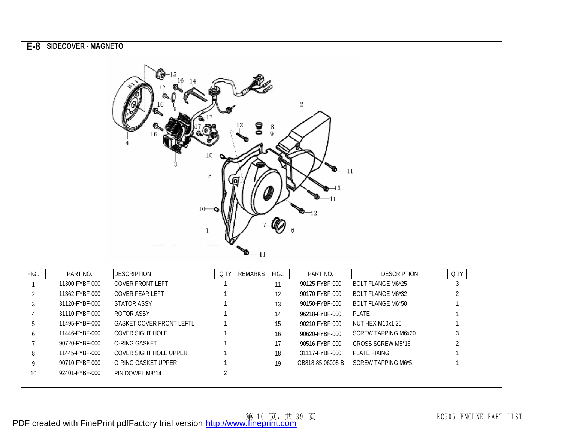|                | E-8 SIDECOVER - MAGNETO          | U0<br>10                                   | 10<br>ā           | ဒွ             | $\frac{8}{9}$ | 11<br>12                         | -11                                                  |                                |
|----------------|----------------------------------|--------------------------------------------|-------------------|----------------|---------------|----------------------------------|------------------------------------------------------|--------------------------------|
|                |                                  |                                            |                   | $-11-$         |               |                                  |                                                      |                                |
| FIG.           | PART NO.                         | <b>DESCRIPTION</b>                         | Q'TY              | <b>REMARKS</b> | FIG.          | PART NO.                         | <b>DESCRIPTION</b>                                   | <b>Q'TY</b>                    |
| $\mathbf{1}$   | 11300-FYBF-000<br>11362-FYBF-000 | <b>COVER FRONT LEFT</b><br>COVER FEAR LEFT | $\mathbf{1}$<br>1 |                | 11            | 90125-FYBF-000<br>90170-FYBF-000 | <b>BOLT FLANGE M6*25</b><br><b>BOLT FLANGE M6*32</b> | $\mathfrak{Z}$                 |
| $\overline{2}$ | 31120-FYBF-000                   | STATOR ASSY                                | 1                 |                | 12            | 90150-FYBF-000                   | <b>BOLT FLANGE M6*50</b>                             | $\overline{2}$<br>$\mathbf{1}$ |
| 3              | 31110-FYBF-000                   | ROTOR ASSY                                 |                   |                | 13            |                                  | <b>PLATE</b>                                         |                                |
| 4<br>5         | 11495-FYBF-000                   | <b>GASKET COVER FRONT LEFTL</b>            |                   |                | 14<br>15      | 96218-FYBF-000<br>90210-FYBF-000 | NUT HEX M10x1.25                                     | $\mathbf{1}$<br>$\mathbf{1}$   |
| 6              | 11446-FYBF-000                   | COVER SIGHT HOLE                           |                   |                | 16            | 90620-FYBF-000                   | <b>SCREW TAPPING M6x20</b>                           | 3                              |
| 7              | 90720-FYBF-000                   | O-RING GASKET                              | 1                 |                | 17            | 90516-FYBF-000                   | CROSS SCREW M5*16                                    | $\overline{2}$                 |
| 8              | 11445-FYBF-000                   | COVER SIGHT HOLE UPPER                     | $\mathbf{1}$      |                | 18            | 31117-FYBF-000                   | PLATE FIXING                                         | $\mathbf{1}$                   |
| 9              | 90710-FYBF-000                   | O-RING GASKET UPPER                        | $\mathbf{1}$      |                | 19            | GB818-85-06005-B                 | <b>SCREW TAPPING M6*5</b>                            | $\mathbf{1}$                   |
| 10             | 92401-FYBF-000                   | PIN DOWEL M8*14                            | $\overline{2}$    |                |               |                                  |                                                      |                                |
|                |                                  |                                            |                   |                |               |                                  |                                                      |                                |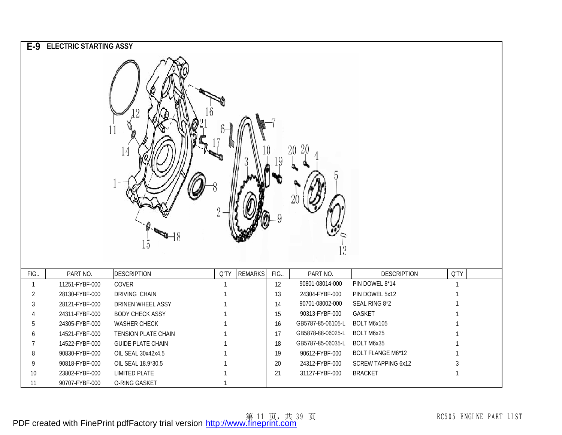|                | E-9 ELECTRIC STARTING ASSY |                           |      |                |      |                   |                           |              |
|----------------|----------------------------|---------------------------|------|----------------|------|-------------------|---------------------------|--------------|
|                |                            | 2<br>11<br>14<br>48<br>15 |      |                |      | 20<br>l3          |                           |              |
| FIG.           | PART NO.                   | <b>DESCRIPTION</b>        | Q'TY | <b>REMARKS</b> | FIG. | PART NO.          | <b>DESCRIPTION</b>        | Q'TY         |
| $\mathbf{1}$   | 11251-FYBF-000             | COVER                     |      |                | 12   | 90801-08014-000   | PIN DOWEL 8*14            | $\mathbf{1}$ |
| $\overline{2}$ | 28130-FYBF-000             | <b>DRIVING CHAIN</b>      |      |                | 13   | 24304-FYBF-000    | PIN DOWEL 5x12            |              |
| 3              | 28121-FYBF-000             | DRINEN WHEEL ASSY         |      |                | 14   | 90701-08002-000   | SEAL RING 8*2             |              |
| 4              | 24311-FYBF-000             | <b>BODY CHECK ASSY</b>    |      |                | 15   | 90313-FYBF-000    | GASKET                    |              |
| 5              | 24305-FYBF-000             | <b>WASHER CHECK</b>       |      |                | 16   | GB5787-85-06105-L | BOLT M6x105               |              |
| 6              | 14521-FYBF-000             | TENSION PLATE CHAIN       |      |                | 17   | GB5878-88-06025-L | BOLT M6x25                |              |
| 7              | 14522-FYBF-000             | <b>GUIDE PLATE CHAIN</b>  |      |                | $18$ | GB5787-85-06035-L | BOLT M6x35                |              |
| 8              | 90830-FYBF-000             | OIL SEAL 30x42x4.5        |      |                | 19   | 90612-FYBF-000    | <b>BOLT FLANGE M6*12</b>  | $\mathbf{1}$ |
| 9              | 90818-FYBF-000             | OIL SEAL 18.9*30.5        |      |                | 20   | 24312-FYBF-000    | <b>SCREW TAPPING 6x12</b> | 3            |
| 10             | 23802-FYBF-000             | <b>LIMITED PLATE</b>      |      |                | 21   | 31127-FYBF-000    | <b>BRACKET</b>            | $\mathbf 1$  |
| 11             | 90707-FYBF-000             | O-RING GASKET             |      |                |      |                   |                           |              |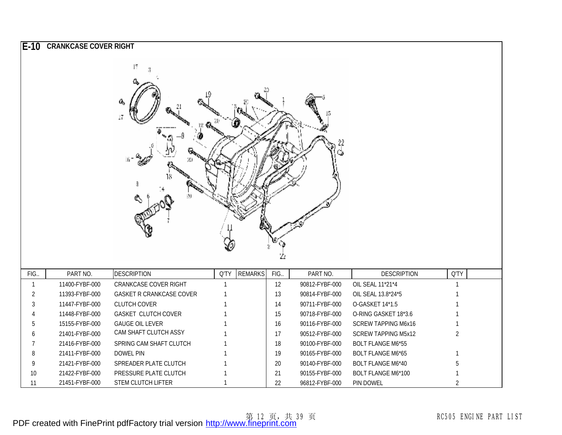| IE-10          | <b>CRANKCASE COVER RIGHT</b> |                                 |              |                |        |                |                            |                |
|----------------|------------------------------|---------------------------------|--------------|----------------|--------|----------------|----------------------------|----------------|
|                |                              | 17<br>a,<br>17<br>ЖJ<br>40      |              |                | 22     | 22             |                            |                |
| FIG.           | PART NO.                     | <b>DESCRIPTION</b>              | Q'TY         | <b>REMARKS</b> | FIG.   | PART NO.       | <b>DESCRIPTION</b>         | Q'TY           |
| $\overline{1}$ | 11400-FYBF-000               | CRANKCASE COVER RIGHT           | $\mathbf{1}$ |                | 12     | 90812-FYBF-000 | OIL SEAL 11*21*4           | $\overline{1}$ |
| 2              | 11393-FYBF-000               | <b>GASKET R CRANKCASE COVER</b> |              |                | 13     | 90814-FYBF-000 | OIL SEAL 13.8*24*5         |                |
| 3              | 11447-FYBF-000               | <b>CLUTCH COVER</b>             |              |                | 14     | 90711-FYBF-000 | O-GASKET 14*1.5            |                |
|                | 11448-FYBF-000               | GASKET CLUTCH COVER             |              |                | 15     | 90718-FYBF-000 | O-RING GASKET 18*3.6       |                |
| 5              | 15155-FYBF-000               | <b>GAUGE OIL LEVER</b>          |              |                | 16     | 90116-FYBF-000 | <b>SCREW TAPPING M6x16</b> | $\mathbf{1}$   |
|                | 21401-FYBF-000               | CAM SHAFT CLUTCH ASSY           |              |                | 17     | 90512-FYBF-000 | <b>SCREW TAPPING M5x12</b> | $\overline{2}$ |
| 7              | 21416-FYBF-000               | SPRING CAM SHAFT CLUTCH         |              |                | $18$   | 90100-FYBF-000 | <b>BOLT FLANGE M6*55</b>   |                |
| 8              | 21411-FYBF-000               | <b>DOWEL PIN</b>                |              |                | 19     | 90165-FYBF-000 | <b>BOLT FLANGE M6*65</b>   | $\mathbf{1}$   |
| 9              | 21421-FYBF-000               | SPREADER PLATE CLUTCH           |              |                | $20\,$ | 90140-FYBF-000 | <b>BOLT FLANGE M6*40</b>   | 5              |
| 10             | 21422-FYBF-000               | PRESSURE PLATE CLUTCH           |              |                | 21     | 90155-FYBF-000 | <b>BOLT FLANGE M6*100</b>  |                |
| 11             | 21451-FYBF-000               | STEM CLUTCH LIFTER              |              |                | 22     | 96812-FYBF-000 | PIN DOWEL                  | $\overline{2}$ |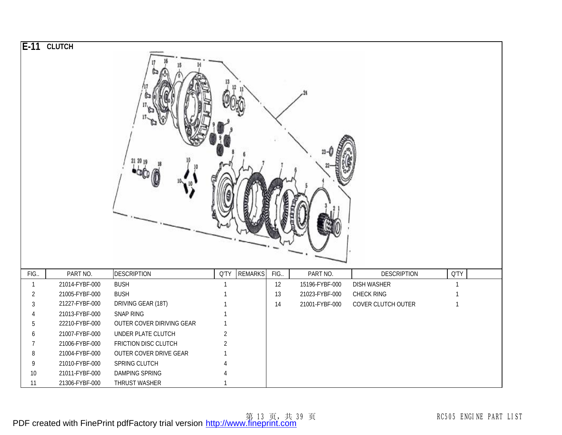|                | E-11 CLUTCH    |                           |                |                |      |                |                    |              |  |
|----------------|----------------|---------------------------|----------------|----------------|------|----------------|--------------------|--------------|--|
|                |                |                           |                |                |      |                |                    |              |  |
| FIG.           | PART NO.       | <b>DESCRIPTION</b>        | Q'TY           | <b>REMARKS</b> | FIG. | PART NO.       | <b>DESCRIPTION</b> | <b>Q'TY</b>  |  |
| $\mathbf{1}$   | 21014-FYBF-000 | <b>BUSH</b>               | $\mathbf{1}$   |                | 12   | 15196-FYBF-000 | <b>DISH WASHER</b> | $\mathbf{1}$ |  |
| $\overline{2}$ | 21005-FYBF-000 | <b>BUSH</b>               |                |                | 13   | 21023-FYBF-000 | CHECK RING         | $\mathbf{1}$ |  |
| $\sqrt{3}$     | 21227-FYBF-000 | DRIVING GEAR (18T)        |                |                | 14   | 21001-FYBF-000 | COVER CLUTCH OUTER | $\mathbf{1}$ |  |
| 4              | 21013-FYBF-000 | SNAP RING                 |                |                |      |                |                    |              |  |
| 5              | 22210-FYBF-000 | OUTER COVER DIRIVING GEAR |                |                |      |                |                    |              |  |
| 6              | 21007-FYBF-000 | UNDER PLATE CLUTCH        | $\overline{2}$ |                |      |                |                    |              |  |
| $\overline{7}$ | 21006-FYBF-000 | FRICTION DISC CLUTCH      | $\overline{2}$ |                |      |                |                    |              |  |
| 8              | 21004-FYBF-000 | OUTER COVER DRIVE GEAR    |                |                |      |                |                    |              |  |
| 9              | 21010-FYBF-000 | SPRING CLUTCH             |                |                |      |                |                    |              |  |
| $10$           | 21011-FYBF-000 | DAMPING SPRING            |                |                |      |                |                    |              |  |
| 11             | 21306-FYBF-000 | THRUST WASHER             |                |                |      |                |                    |              |  |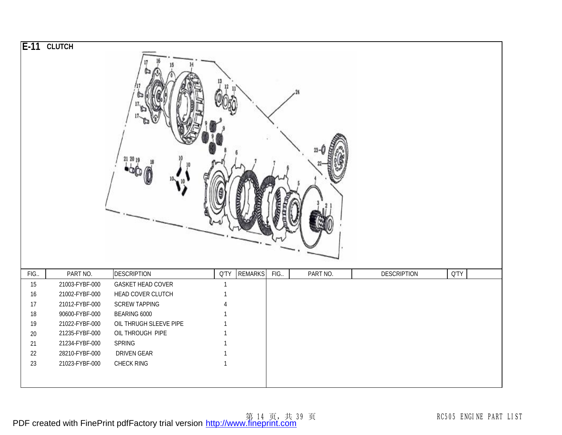|              | E-11 CLUTCH                      | 21 20 19               |              |                |      |          |                    |      |  |
|--------------|----------------------------------|------------------------|--------------|----------------|------|----------|--------------------|------|--|
| FIG.         | PART NO.                         | <b>DESCRIPTION</b>     | Q'TY         | <b>REMARKS</b> | FIG. | PART NO. | <b>DESCRIPTION</b> | Q'TY |  |
| 15           | 21003-FYBF-000                   | GASKET HEAD COVER      |              |                |      |          |                    |      |  |
| 16           | 21002-FYBF-000                   | HEAD COVER CLUTCH      |              |                |      |          |                    |      |  |
| 17           | 21012-FYBF-000                   | <b>SCREW TAPPING</b>   |              |                |      |          |                    |      |  |
| 18           | 90600-FYBF-000                   | BEARING 6000           |              |                |      |          |                    |      |  |
| 19           | 21022-FYBF-000                   | OIL THRUGH SLEEVE PIPE |              |                |      |          |                    |      |  |
| $20\,$       | 21235-FYBF-000                   | OIL THROUGH PIPE       |              |                |      |          |                    |      |  |
| 21<br>$22\,$ | 21234-FYBF-000<br>28210-FYBF-000 | SPRING<br>DRIVEN GEAR  |              |                |      |          |                    |      |  |
| 23           | 21023-FYBF-000                   | CHECK RING             | $\mathbf{1}$ |                |      |          |                    |      |  |
|              |                                  |                        |              |                |      |          |                    |      |  |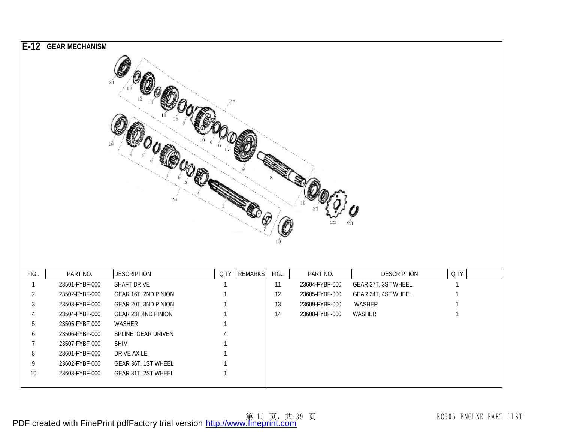|                | E-12 GEAR MECHANISM |                      |                        |      |                |                     |              |
|----------------|---------------------|----------------------|------------------------|------|----------------|---------------------|--------------|
|                |                     | 24                   |                        |      |                |                     |              |
| FIG.           | PART NO.            | <b>DESCRIPTION</b>   | <b>REMARKS</b><br>Q'TY | FIG. | PART NO.       | <b>DESCRIPTION</b>  | <b>Q'TY</b>  |
| $\mathbf{1}$   | 23501-FYBF-000      | SHAFT DRIVE          | $\mathbf{1}$           | 11   | 23604-FYBF-000 | GEAR 27T, 3ST WHEEL | $\mathbf{1}$ |
| $\overline{2}$ | 23502-FYBF-000      | GEAR 16T, 2ND PINION |                        | 12   | 23605-FYBF-000 | GEAR 24T, 4ST WHEEL |              |
| 3              | 23503-FYBF-000      | GEAR 20T, 3ND PINION |                        | 13   | 23609-FYBF-000 | WASHER              |              |
| 4              | 23504-FYBF-000      | GEAR 23T, 4ND PINION |                        | 14   | 23608-FYBF-000 | WASHER              | $\mathbf{1}$ |
| 5              | 23505-FYBF-000      | WASHER               |                        |      |                |                     |              |
|                |                     |                      |                        |      |                |                     |              |
| 6              | 23506-FYBF-000      | SPLINE GEAR DRIVEN   |                        |      |                |                     |              |
| 7              | 23507-FYBF-000      | <b>SHIM</b>          |                        |      |                |                     |              |
| 8              | 23601-FYBF-000      | DRIVE AXILE          |                        |      |                |                     |              |
| 9              | 23602-FYBF-000      | GEAR 36T, 1ST WHEEL  | $\mathbf{1}$           |      |                |                     |              |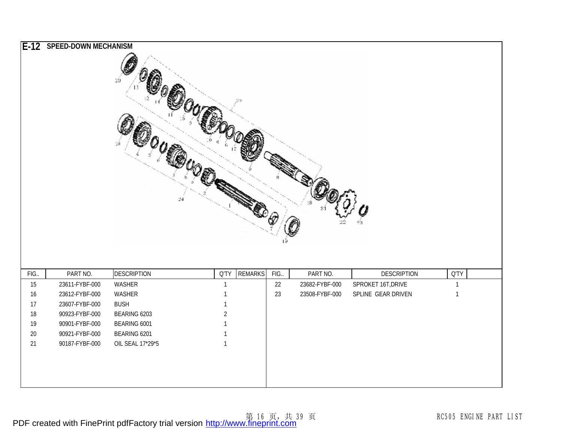|        | E-12 SPEED-DOWN MECHANISM | 20<br>$24\,$       |              |                |      |                |                    |              |  |
|--------|---------------------------|--------------------|--------------|----------------|------|----------------|--------------------|--------------|--|
| FIG.   | PART NO.                  | <b>DESCRIPTION</b> | Q'TY         | <b>REMARKS</b> | FIG. | PART NO.       | <b>DESCRIPTION</b> | <b>Q'TY</b>  |  |
| 15     | 23611-FYBF-000            | WASHER             | $\mathbf{1}$ |                | 22   | 23682-FYBF-000 | SPROKET 16T, DRIVE | $\mathbf{1}$ |  |
| 16     | 23612-FYBF-000            | WASHER             | $\mathbf{1}$ |                | 23   | 23508-FYBF-000 | SPLINE GEAR DRIVEN | $\mathbf{1}$ |  |
| 17     | 23607-FYBF-000            | <b>BUSH</b>        | $\mathbf{1}$ |                |      |                |                    |              |  |
| $18$   | 90923-FYBF-000            | BEARING 6203       | $\sqrt{2}$   |                |      |                |                    |              |  |
| 19     | 90901-FYBF-000            | BEARING 6001       | $\mathbf{1}$ |                |      |                |                    |              |  |
| $20\,$ | 90921-FYBF-000            | BEARING 6201       | $\mathbf{1}$ |                |      |                |                    |              |  |
| 21     | 90187-FYBF-000            | OIL SEAL 17*29*5   | $\mathbf{1}$ |                |      |                |                    |              |  |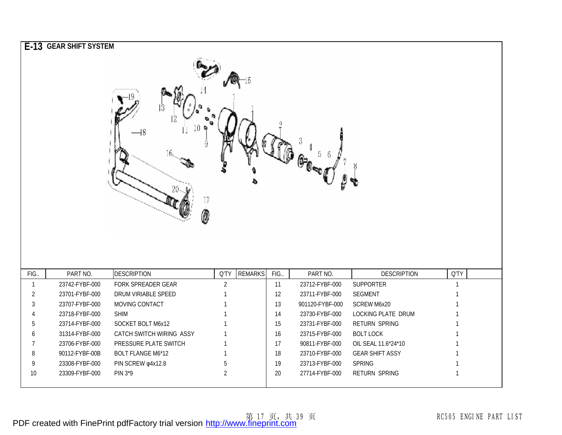|                      | E-13 GEAR SHIFT SYSTEM<br>$\mathbb{G}_{\mathbb{C}^{\infty}\mathbb{C}^{\infty}}$<br>17<br>0 |                                          |                        |                |            |                            |                                 |                             |  |
|----------------------|--------------------------------------------------------------------------------------------|------------------------------------------|------------------------|----------------|------------|----------------------------|---------------------------------|-----------------------------|--|
| FIG.<br>$\mathbf{1}$ | PART NO.<br>23742-FYBF-000                                                                 | <b>DESCRIPTION</b><br>FORK SPREADER GEAR | Q'TY<br>$\overline{2}$ | <b>REMARKS</b> | FIG.<br>11 | PART NO.<br>23712-FYBF-000 | <b>DESCRIPTION</b><br>SUPPORTER | <b>Q'TY</b><br>$\mathbf{1}$ |  |
| $\overline{2}$       | 23701-FYBF-000                                                                             | DRUM VIRIABLE SPEED                      |                        |                | 12         | 23711-FYBF-000             | <b>SEGMENT</b>                  | 1                           |  |
| 3                    | 23707-FYBF-000                                                                             | MOVING CONTACT                           |                        |                | 13         | 901120-FYBF-000            | <b>SCREW M6x20</b>              | $\mathbf{1}$                |  |
| 4                    | 23718-FYBF-000                                                                             | <b>SHIM</b>                              |                        |                | 14         | 23730-FYBF-000             | LOCKING PLATE DRUM              | 1                           |  |
| 5                    | 23714-FYBF-000                                                                             | SOCKET BOLT M6x12                        |                        |                | 15         | 23731-FYBF-000             | <b>RETURN SPRING</b>            | 1                           |  |
| 6                    | 31314-FYBF-000                                                                             | CATCH SWITCH WIRING ASSY                 |                        |                | 16         | 23715-FYBF-000             | <b>BOLT LOCK</b>                | 1                           |  |
| 7                    | 23706-FYBF-000                                                                             | PRESSURE PLATE SWITCH                    |                        |                | 17         | 90811-FYBF-000             | OIL SEAL 11.6*24*10             | $\mathbf{1}$                |  |
| 8                    | 90112-FYBF-00B                                                                             | <b>BOLT FLANGE M6*12</b>                 |                        |                | 18         | 23710-FYBF-000             | <b>GEAR SHIFT ASSY</b>          | 1                           |  |
| 9                    | 23308-FYBF-000                                                                             | PIN SCREW @4x12.8                        | 5                      |                | 19         | 23713-FYBF-000             | <b>SPRING</b>                   | 1                           |  |
| 10                   | 23309-FYBF-000                                                                             | PIN 3*9                                  | $\overline{2}$         |                | 20         | 27714-FYBF-000             | <b>RETURN SPRING</b>            | $\mathbf{1}$                |  |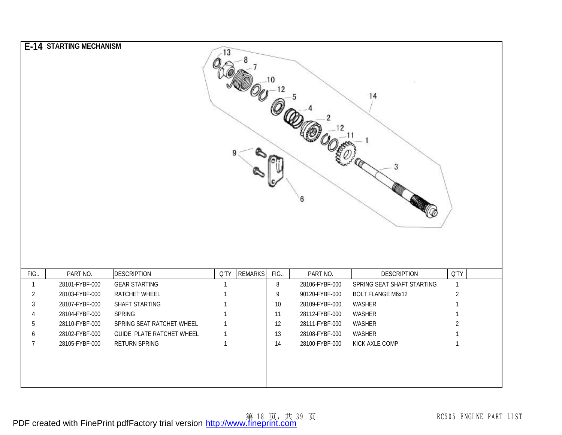|                | E-14 STARTING MECHANISM |                           | 13           |                |      | 6              | 14                         |                |
|----------------|-------------------------|---------------------------|--------------|----------------|------|----------------|----------------------------|----------------|
| FIG.           | PART NO.                | <b>DESCRIPTION</b>        | Q'TY         | <b>REMARKS</b> | FIG. | PART NO.       | <b>DESCRIPTION</b>         | <b>Q'TY</b>    |
| $\mathbf{1}$   | 28101-FYBF-000          | <b>GEAR STARTING</b>      | $\mathbf 1$  |                | 8    | 28106-FYBF-000 | SPRING SEAT SHAFT STARTING | $\mathbf{1}$   |
| $\overline{2}$ | 28103-FYBF-000          | RATCHET WHEEL             |              |                | 9    | 90120-FYBF-000 | <b>BOLT FLANGE M6x12</b>   | $\overline{2}$ |
| 3              | 28107-FYBF-000          | SHAFT STARTING            |              |                | $10$ | 28109-FYBF-000 | WASHER                     | 1              |
| 4              | 28104-FYBF-000          | <b>SPRING</b>             |              |                | 11   | 28112-FYBF-000 | WASHER                     | 1              |
| 5              | 28110-FYBF-000          | SPRING SEAT RATCHET WHEEL |              |                | 12   | 28111-FYBF-000 | WASHER                     | $\overline{2}$ |
| 6              | 28102-FYBF-000          | GUIDE PLATE RATCHET WHEEL | 1            |                | 13   | 28108-FYBF-000 | WASHER                     |                |
| $\overline{7}$ | 28105-FYBF-000          | RETURN SPRING             | $\mathbf{1}$ |                | 14   | 28100-FYBF-000 | KICK AXLE COMP             | $\mathbf{1}$   |
|                |                         |                           |              |                |      |                |                            |                |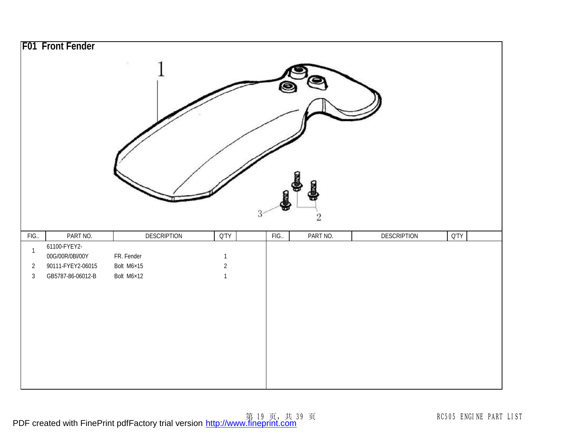|                | F01 Front Fender         |             |                |     |              |                    |                |
|----------------|--------------------------|-------------|----------------|-----|--------------|--------------------|----------------|
|                |                          | œ.          |                | 3   | $\mathbf{2}$ |                    |                |
|                |                          |             |                |     |              |                    |                |
|                |                          |             |                |     |              |                    |                |
| FIG            | PART NO.<br>61100-FYEY2- | DESCRIPTION | Q'TY           | FIG | PART NO.     | <b>DESCRIPTION</b> | $Q^{\prime}TY$ |
| $\mathbf{1}$   | 00G/00R/0BI/00Y          | FR. Fender  | $\mathbf{1}$   |     |              |                    |                |
| $\overline{2}$ | 90111-FYEY2-06015        | Bolt M6×15  | $\overline{2}$ |     |              |                    |                |
| $\mathfrak{Z}$ | GB5787-86-06012-B        | Bolt M6×12  | $\mathbf{1}$   |     |              |                    |                |
|                |                          |             |                |     |              |                    |                |
|                |                          |             |                |     |              |                    |                |
|                |                          |             |                |     |              |                    |                |
|                |                          |             |                |     |              |                    |                |
|                |                          |             |                |     |              |                    |                |
|                |                          |             |                |     |              |                    |                |
|                |                          |             |                |     |              |                    |                |
|                |                          |             |                |     |              |                    |                |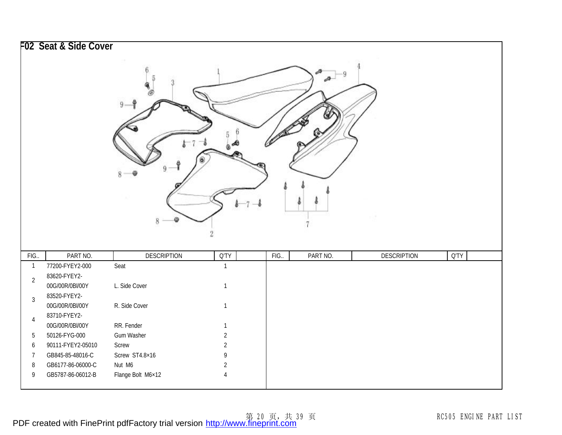|                  | F02 Seat & Side Cover |                    |                |      |          |                    |      |
|------------------|-----------------------|--------------------|----------------|------|----------|--------------------|------|
|                  |                       |                    |                |      |          |                    |      |
|                  |                       | 8                  |                |      |          |                    |      |
| FIG.             | PART NO.              | <b>DESCRIPTION</b> | Q'TY           | FIG. | PART NO. | <b>DESCRIPTION</b> | Q'TY |
| $\mathbf{1}$     | 77200-FYEY2-000       | Seat               | $\mathbf{1}$   |      |          |                    |      |
| $\overline{2}$   | 83620-FYEY2-          |                    |                |      |          |                    |      |
|                  | 00G/00R/0BI/00Y       | L. Side Cover      | $\mathbf{1}$   |      |          |                    |      |
| $\mathfrak{Z}$   | 83520-FYEY2-          |                    |                |      |          |                    |      |
|                  | 00G/00R/0BI/00Y       | R. Side Cover      | $\mathbf{1}$   |      |          |                    |      |
| $\overline{4}$   | 83710-FYEY2-          |                    |                |      |          |                    |      |
|                  | 00G/00R/0BI/00Y       | RR. Fender         | $\mathbf{1}$   |      |          |                    |      |
| $\overline{5}$   | 50126-FYG-000         | Gum Washer         | $\overline{2}$ |      |          |                    |      |
| $\boldsymbol{6}$ | 90111-FYEY2-05010     | Screw              | $\overline{2}$ |      |          |                    |      |
| $\overline{7}$   | GB845-85-48016-C      | Screw ST4.8×16     | 9              |      |          |                    |      |
| $\, 8$           | GB6177-86-06000-C     | Nut M6             | $\overline{2}$ |      |          |                    |      |
| 9                | GB5787-86-06012-B     | Flange Bolt M6×12  | $\overline{4}$ |      |          |                    |      |
|                  |                       |                    |                |      |          |                    |      |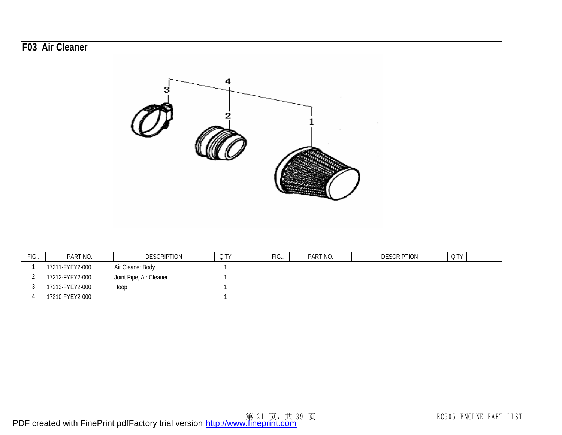|                | F03 Air Cleaner | 3                       | $\boldsymbol{4}$<br>2 |      |          |                    |                 |
|----------------|-----------------|-------------------------|-----------------------|------|----------|--------------------|-----------------|
| FIG.           | PART NO.        | <b>DESCRIPTION</b>      | $Q^{\prime}TY$        | FIG. | PART NO. | <b>DESCRIPTION</b> | $Q^{\dagger}TY$ |
| $\mathbf{1}$   | 17211-FYEY2-000 | Air Cleaner Body        | $\mathbf{1}$          |      |          |                    |                 |
| $\overline{2}$ | 17212-FYEY2-000 | Joint Pipe, Air Cleaner | $\mathbf{1}$          |      |          |                    |                 |
| $\mathfrak{Z}$ | 17213-FYEY2-000 | Hoop                    | $\mathbf{1}$          |      |          |                    |                 |
| $\overline{4}$ | 17210-FYEY2-000 |                         | $\mathbf{1}$          |      |          |                    |                 |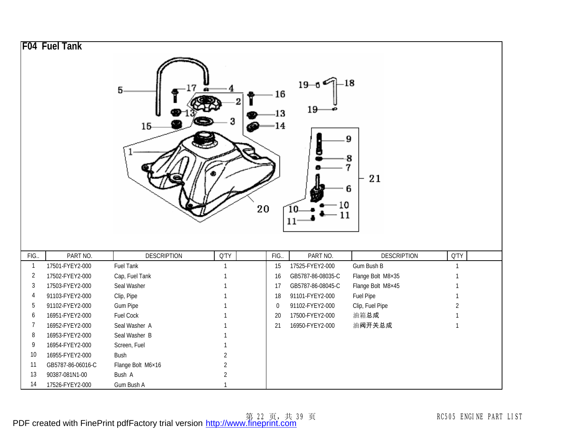|                | F04 Fuel Tank     |                    |                |                  |                             |                            |                |
|----------------|-------------------|--------------------|----------------|------------------|-----------------------------|----------------------------|----------------|
|                |                   | 5<br>$15-$         | 2              | 16<br>13<br>14   | $19 - 6$<br>19<br>10        | $-18$<br>9<br>8<br>21<br>6 |                |
|                |                   |                    |                | 20               | $\overline{10}$<br>11<br>11 |                            |                |
| FIG.           | PART NO.          | <b>DESCRIPTION</b> | Q'TY           | FIG.             | PART NO.                    | <b>DESCRIPTION</b>         | <b>Q'TY</b>    |
| $\overline{1}$ | 17501-FYEY2-000   | Fuel Tank          | 1              | 15               | 17525-FYEY2-000             | Gum Bush B                 | $\mathbf{1}$   |
| $\overline{2}$ | 17502-FYEY2-000   | Cap, Fuel Tank     |                | 16               | GB5787-86-08035-C           | Flange Bolt M8×35          | 1              |
| $\mathbf{3}$   | 17503-FYEY2-000   | Seal Washer        |                | 17               | GB5787-86-08045-C           | Flange Bolt M8×45          | 1              |
| 4              | 91103-FYEY2-000   | Clip, Pipe         |                | 18               | 91101-FYEY2-000             | Fuel Pipe                  | $\mathbf{1}$   |
| 5              | 91102-FYEY2-000   | Gum Pipe           |                | $\boldsymbol{0}$ | 91102-FYEY2-000             | Clip, Fuel Pipe            | $\overline{2}$ |
| 6              | 16951-FYEY2-000   | Fuel Cock          |                | 20               | 17500-FYEY2-000             | 油箱总成                       | $\mathbf{1}$   |
| $\overline{7}$ | 16952-FYEY2-000   | Seal Washer A      |                | 21               | 16950-FYEY2-000             | 油阀开关总成                     | $\mathbf{1}$   |
| 8              | 16953-FYEY2-000   | Seal Washer B      |                |                  |                             |                            |                |
| 9              | 16954-FYEY2-000   | Screen, Fuel       |                |                  |                             |                            |                |
| 10             | 16955-FYEY2-000   | <b>Bush</b>        | $\overline{2}$ |                  |                             |                            |                |
| 11             | GB5787-86-06016-C | Flange Bolt M6×16  | $\overline{2}$ |                  |                             |                            |                |
| 13             | 90387-081N1-00    | Bush A             | $\overline{2}$ |                  |                             |                            |                |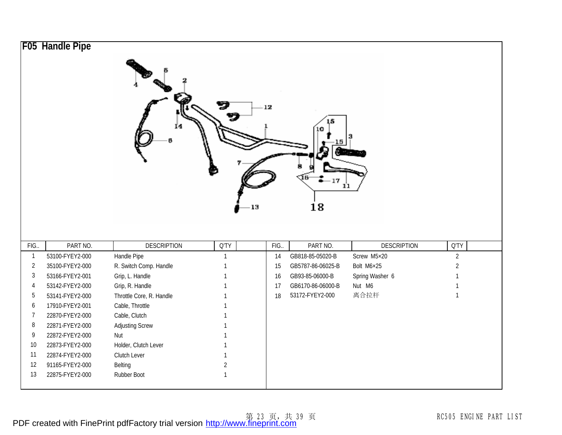|                | <b>F05 Handle Pipe</b> | 14                       | - 13           | 12   | 17<br>ıı<br>18    |                    |                |
|----------------|------------------------|--------------------------|----------------|------|-------------------|--------------------|----------------|
| FIG.           | PART NO.               | <b>DESCRIPTION</b>       | Q'TY           | FIG. | PART NO.          | <b>DESCRIPTION</b> | <b>Q'TY</b>    |
| $\mathbf{1}$   | 53100-FYEY2-000        | Handle Pipe              | $\mathbf{1}$   | 14   | GB818-85-05020-B  | Screw M5×20        | $\overline{2}$ |
| $\overline{2}$ | 35100-FYEY2-000        | R. Switch Comp. Handle   | $\mathbf{1}$   | 15   | GB5787-86-06025-B | Bolt M6×25         | $\overline{2}$ |
| 3              | 53166-FYEY2-001        | Grip, L. Handle          | 1              | 16   | GB93-85-06000-B   | Spring Washer 6    |                |
| $\overline{4}$ | 53142-FYEY2-000        | Grip, R. Handle          | 1              | 17   | GB6170-86-06000-B | Nut M6             | $\mathbf{1}$   |
| 5              | 53141-FYEY2-000        | Throttle Core, R. Handle | $\mathbf{1}$   | 18   | 53172-FYEY2-000   | 离合拉杆               | $\mathbf{1}$   |
| 6              | 17910-FYEY2-001        | Cable, Throttle          | 1              |      |                   |                    |                |
| $\overline{7}$ | 22870-FYEY2-000        | Cable, Clutch            | 1              |      |                   |                    |                |
| 8              | 22871-FYEY2-000        | <b>Adjusting Screw</b>   |                |      |                   |                    |                |
| 9              | 22872-FYEY2-000        | Nut                      |                |      |                   |                    |                |
| 10             | 22873-FYEY2-000        | Holder, Clutch Lever     |                |      |                   |                    |                |
| 11             | 22874-FYEY2-000        | Clutch Lever             | 1              |      |                   |                    |                |
| 12             | 91165-FYEY2-000        | Belting                  | $\overline{2}$ |      |                   |                    |                |
| 13             | 22875-FYEY2-000        | Rubber Boot              | $\mathbf{1}$   |      |                   |                    |                |
|                |                        |                          |                |      |                   |                    |                |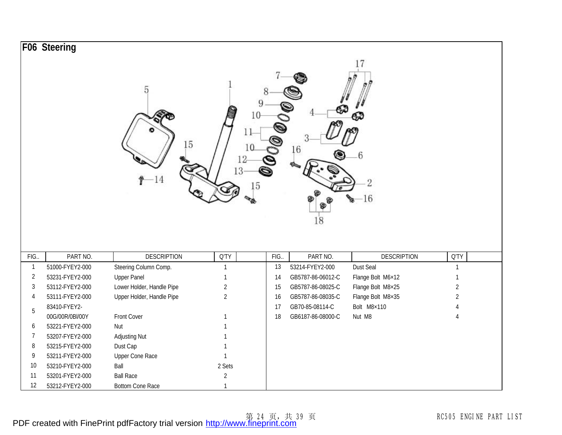|                | F06 Steering    |                           |                                  |      |                   |                    |                |
|----------------|-----------------|---------------------------|----------------------------------|------|-------------------|--------------------|----------------|
|                |                 | 5<br>15                   | 10<br>11<br>10<br>12<br>13<br>15 | 9    | 16<br>18          | 6<br>2<br>16       |                |
| FIG.           | PART NO.        | <b>DESCRIPTION</b>        | Q'TY                             | FIG. | PART NO.          | <b>DESCRIPTION</b> | Q'TY           |
| $\mathbf{1}$   | 51000-FYEY2-000 | Steering Column Comp.     | $\mathbf{1}$                     | 13   | 53214-FYEY2-000   | Dust Seal          | $\mathbf{1}$   |
| $\overline{2}$ | 53231-FYEY2-000 | <b>Upper Panel</b>        | $\mathbf{1}$                     | 14   | GB5787-86-06012-C | Flange Bolt M6×12  |                |
| 3              | 53112-FYEY2-000 | Lower Holder, Handle Pipe | $\sqrt{2}$                       | 15   | GB5787-86-08025-C | Flange Bolt M8×25  | $\overline{2}$ |
| 4              | 53111-FYEY2-000 | Upper Holder, Handle Pipe | $\overline{2}$                   | 16   | GB5787-86-08035-C | Flange Bolt M8×35  | $\overline{2}$ |
| 5              | 83410-FYEY2-    |                           |                                  | 17   | GB70-85-08114-C   | Bolt M8×110        |                |
|                | 00G/00R/0BI/00Y | Front Cover               |                                  | 18   | GB6187-86-08000-C | Nut M8             | $\overline{4}$ |
| 6              | 53221-FYEY2-000 | Nut                       |                                  |      |                   |                    |                |
| 7              | 53207-FYEY2-000 | <b>Adjusting Nut</b>      |                                  |      |                   |                    |                |
| 8              | 53215-FYEY2-000 | Dust Cap                  |                                  |      |                   |                    |                |
| 9              | 53211-FYEY2-000 | Upper Cone Race           | $\mathbf{1}$                     |      |                   |                    |                |
| 10             | 53210-FYEY2-000 | Ball                      | 2 Sets                           |      |                   |                    |                |
| 11             | 53201-FYEY2-000 | <b>Ball Race</b>          | $\sqrt{2}$                       |      |                   |                    |                |
| 12             | 53212-FYEY2-000 | <b>Bottom Cone Race</b>   | $\mathbf{1}$                     |      |                   |                    |                |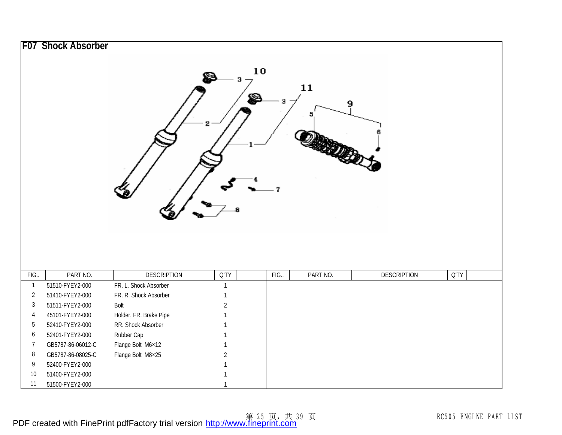| 2<br>9<br>5                                                                                         |                |
|-----------------------------------------------------------------------------------------------------|----------------|
|                                                                                                     |                |
|                                                                                                     |                |
| 7                                                                                                   |                |
|                                                                                                     |                |
| PART NO.<br><b>DESCRIPTION</b><br>$Q^{\dagger}TY$<br>PART NO.<br><b>DESCRIPTION</b><br>FIG.<br>FIG. | $Q^{\prime}TY$ |
| $\mathbf{1}$<br>FR. L. Shock Absorber<br>51510-FYEY2-000<br>$\mathbf{1}$                            |                |
| $\sqrt{2}$<br>51410-FYEY2-000<br>FR. R. Shock Absorber                                              |                |
| $\sqrt{3}$<br>Bolt<br>$\overline{2}$<br>51511-FYEY2-000                                             |                |
| $\sqrt{4}$<br>Holder, FR. Brake Pipe<br>45101-FYEY2-000                                             |                |
| $5\,$<br>RR. Shock Absorber<br>52410-FYEY2-000                                                      |                |
| $\boldsymbol{6}$<br>Rubber Cap<br>52401-FYEY2-000                                                   |                |
| $\overline{7}$<br>Flange Bolt M6×12<br>GB5787-86-06012-C                                            |                |
| $\, 8$<br>Flange Bolt M8×25<br>GB5787-86-08025-C<br>$\overline{2}$                                  |                |
| 9<br>52400-FYEY2-000                                                                                |                |
| $10$<br>51400-FYEY2-000<br>11<br>51500-FYEY2-000                                                    |                |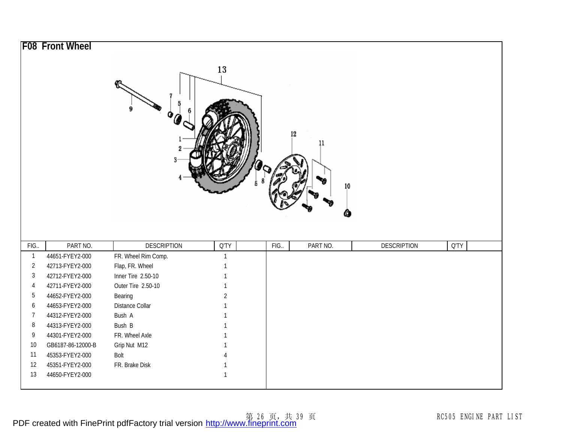|                | <b>F08 Front Wheel</b> | o                   | 13             | 12   | 11<br>10<br>œ |                    |             |
|----------------|------------------------|---------------------|----------------|------|---------------|--------------------|-------------|
| FIG.           | PART NO.               | <b>DESCRIPTION</b>  | Q'TY           | FIG. | PART NO.      | <b>DESCRIPTION</b> | <b>Q'TY</b> |
| $\overline{1}$ | 44651-FYEY2-000        | FR. Wheel Rim Comp. | $\mathbf{1}$   |      |               |                    |             |
| $\overline{2}$ | 42713-FYEY2-000        | Flap, FR. Wheel     | $\mathbf{1}$   |      |               |                    |             |
| $\mathfrak{Z}$ | 42712-FYEY2-000        | Inner Tire 2.50-10  | 1              |      |               |                    |             |
| $\overline{4}$ | 42711-FYEY2-000        | Outer Tire 2.50-10  | $\mathbf{1}$   |      |               |                    |             |
| 5              | 44652-FYEY2-000        | Bearing             | $\overline{2}$ |      |               |                    |             |
| 6              | 44653-FYEY2-000        | Distance Collar     |                |      |               |                    |             |
| $\overline{7}$ | 44312-FYEY2-000        | Bush A              |                |      |               |                    |             |
| 8              | 44313-FYEY2-000        | Bush B              |                |      |               |                    |             |
| 9              | 44301-FYEY2-000        | FR. Wheel Axle      |                |      |               |                    |             |
| 10             | GB6187-86-12000-B      | Grip Nut M12        |                |      |               |                    |             |
| 11             | 45353-FYEY2-000        | Bolt                |                |      |               |                    |             |
| 12             | 45351-FYEY2-000        | FR. Brake Disk      |                |      |               |                    |             |
| 13             | 44650-FYEY2-000        |                     | $\mathbf 1$    |      |               |                    |             |
|                |                        |                     |                |      |               |                    |             |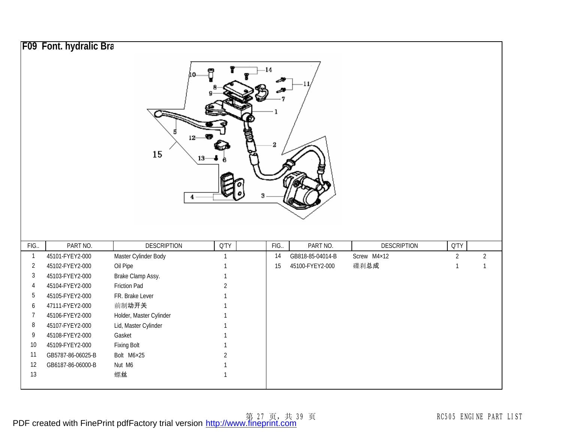|                | F09 Font. hydralic Bra |                         |                |                 |                  |                    |                |                |
|----------------|------------------------|-------------------------|----------------|-----------------|------------------|--------------------|----------------|----------------|
|                |                        | 12<br>15                |                | -14<br>$\bf{2}$ |                  |                    |                |                |
| FIG            | PART NO.               | <b>DESCRIPTION</b>      | Q'TY           | FIG.            | PART NO.         | <b>DESCRIPTION</b> | Q'TY           |                |
| $\mathbf{1}$   | 45101-FYEY2-000        | Master Cylinder Body    | $\mathbf{1}$   | 14              | GB818-85-04014-B | Screw M4×12        | $\overline{2}$ | $\overline{2}$ |
| $\overline{2}$ | 45102-FYEY2-000        | Oil Pipe                | $\mathbf{1}$   | 15              | 45100-FYEY2-000  | 碟刹总成               | $\mathbf{1}$   | $\mathbf{1}$   |
| $\mathfrak{Z}$ | 45103-FYEY2-000        | Brake Clamp Assy.       | $\mathbf{1}$   |                 |                  |                    |                |                |
| 4              | 45104-FYEY2-000        | <b>Friction Pad</b>     | $\overline{2}$ |                 |                  |                    |                |                |
| 5              | 45105-FYEY2-000        | FR. Brake Lever         |                |                 |                  |                    |                |                |
| 6              | 47111-FYEY2-000        | 前制动开关                   |                |                 |                  |                    |                |                |
| $\overline{7}$ | 45106-FYEY2-000        | Holder, Master Cylinder |                |                 |                  |                    |                |                |
| 8              | 45107-FYEY2-000        | Lid, Master Cylinder    |                |                 |                  |                    |                |                |
| 9              | 45108-FYEY2-000        | Gasket                  |                |                 |                  |                    |                |                |
| 10             | 45109-FYEY2-000        | <b>Fixing Bolt</b>      | 1              |                 |                  |                    |                |                |
| 11             | GB5787-86-06025-B      | Bolt M6×25              | $\overline{2}$ |                 |                  |                    |                |                |
| 12             | GB6187-86-06000-B      | Nut M6                  | $\mathbf{1}$   |                 |                  |                    |                |                |
| 13             |                        | 螺丝                      | $\mathbf{1}$   |                 |                  |                    |                |                |
|                |                        |                         |                |                 |                  |                    |                |                |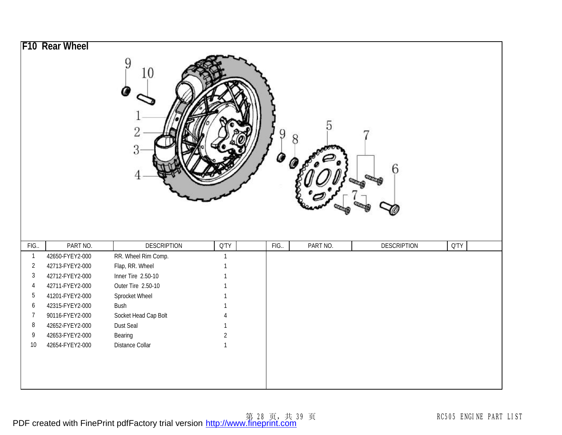|                         | F10 Rear Wheel                     | 9<br>10<br>2<br>3             |                | 9<br>Ø | 5        |                         |      |
|-------------------------|------------------------------------|-------------------------------|----------------|--------|----------|-------------------------|------|
| FIG.                    | PART NO.                           | <b>DESCRIPTION</b>            | Q'TY           | FIG.   | PART NO. | 6<br><b>DESCRIPTION</b> | Q'TY |
| $\overline{1}$          | 42650-FYEY2-000                    | RR. Wheel Rim Comp.           |                |        |          |                         |      |
| $\overline{2}$          | 42713-FYEY2-000                    | Flap, RR. Wheel               |                |        |          |                         |      |
| $\sqrt{3}$              | 42712-FYEY2-000                    | Inner Tire 2.50-10            |                |        |          |                         |      |
| $\overline{4}$<br>$5\,$ | 42711-FYEY2-000                    | Outer Tire 2.50-10            |                |        |          |                         |      |
| 6                       | 41201-FYEY2-000<br>42315-FYEY2-000 | Sprocket Wheel<br><b>Bush</b> |                |        |          |                         |      |
| $\overline{7}$          | 90116-FYEY2-000                    | Socket Head Cap Bolt          |                |        |          |                         |      |
| 8                       | 42652-FYEY2-000                    | Dust Seal                     |                |        |          |                         |      |
| 9                       | 42653-FYEY2-000                    | Bearing                       | $\overline{2}$ |        |          |                         |      |
| $10$                    | 42654-FYEY2-000                    | Distance Collar               | $\mathbf{1}$   |        |          |                         |      |
|                         |                                    |                               |                |        |          |                         |      |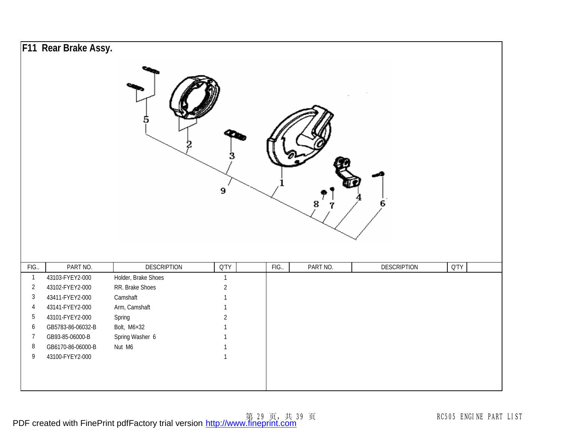|                | F11 Rear Brake Assy. |                     | 9              |      | 8        | $6\phantom{.}6$    |             |
|----------------|----------------------|---------------------|----------------|------|----------|--------------------|-------------|
| FIG.           | PART NO.             | <b>DESCRIPTION</b>  | <b>Q'TY</b>    | FIG. | PART NO. | <b>DESCRIPTION</b> | <b>Q'TY</b> |
| $\mathbf{1}$   | 43103-FYEY2-000      | Holder, Brake Shoes | $\mathbf{1}$   |      |          |                    |             |
| $\overline{2}$ | 43102-FYEY2-000      | RR. Brake Shoes     | $\overline{2}$ |      |          |                    |             |
| $\sqrt{3}$     | 43411-FYEY2-000      | Camshaft            | $\mathbf{1}$   |      |          |                    |             |
| $\overline{4}$ | 43141-FYEY2-000      | Arm, Camshaft       | $\mathbf{1}$   |      |          |                    |             |
| $5\,$          | 43101-FYEY2-000      | Spring              | $\overline{2}$ |      |          |                    |             |
| 6              | GB5783-86-06032-B    | Bolt, M6×32         |                |      |          |                    |             |
| $\overline{7}$ | GB93-85-06000-B      | Spring Washer 6     |                |      |          |                    |             |
| $\, 8$         | GB6170-86-06000-B    | Nut M6              |                |      |          |                    |             |
| 9              | 43100-FYEY2-000      |                     | $\mathbf{1}$   |      |          |                    |             |
|                |                      |                     |                |      |          |                    |             |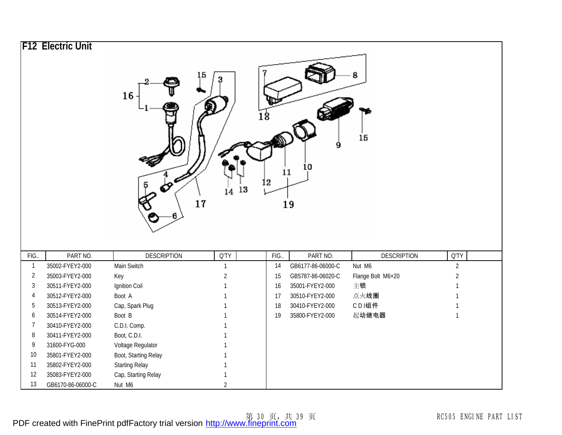|                | <b>F12 Electric Unit</b> |                                   |                      |      |                               |                              |                        |
|----------------|--------------------------|-----------------------------------|----------------------|------|-------------------------------|------------------------------|------------------------|
|                |                          | 16                                | ļ5<br>14 13<br>17    | 12   | 9<br>10<br>11<br>19           | 15                           |                        |
| FIG.           | PART NO.                 |                                   |                      |      |                               |                              |                        |
| $\overline{1}$ |                          |                                   |                      | FIG. |                               |                              |                        |
|                | 35002-FYEY2-000          | <b>DESCRIPTION</b><br>Main Switch | Q'TY<br>$\mathbf{1}$ | 14   | PART NO.<br>GB6177-86-06000-C | <b>DESCRIPTION</b><br>Nut M6 | Q'TY<br>$\overline{2}$ |
| $\sqrt{2}$     | 35003-FYEY2-000          |                                   | $\overline{2}$       | 15   | GB5787-86-06020-C             |                              | $\overline{2}$         |
| 3              | 30511-FYEY2-000          | Key<br>Ignition Coil              | $\mathbf{1}$         | 16   | 35001-FYEY2-000               | Flange Bolt M6×20<br>主锁      | $\mathbf{1}$           |
| 4              | 30512-FYEY2-000          | Boot A                            | $\mathbf{1}$         | 17   | 30510-FYEY2-000               | 点火线圈                         | $\mathbf{1}$           |
| 5              | 30513-FYEY2-000          | Cap, Spark Plug                   |                      | 18   | 30410-FYEY2-000               | CDI组件                        | $\mathbf{1}$           |
| 6              | 30514-FYEY2-000          | Boot B                            |                      | 19   | 35800-FYEY2-000               | 起动继电器                        | $\mathbf{1}$           |
| $\overline{7}$ | 30410-FYEY2-000          | C.D.I. Comp.                      |                      |      |                               |                              |                        |
| 8              | 30411-FYEY2-000          | Boot, C.D.I.                      |                      |      |                               |                              |                        |
| 9              | 31600-FYG-000            | Voltage Regulator                 |                      |      |                               |                              |                        |
| 10             | 35801-FYEY2-000          | Boot, Starting Relay              |                      |      |                               |                              |                        |
| 11             | 35802-FYEY2-000          | <b>Starting Relay</b>             |                      |      |                               |                              |                        |
| 12             | 35083-FYEY2-000          | Cap, Starting Relay               | 1                    |      |                               |                              |                        |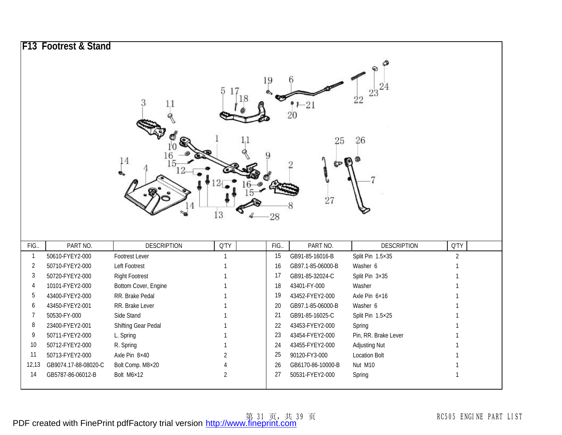|                | F13 Footrest & Stand |                       |                |                |                                  |                      |                |
|----------------|----------------------|-----------------------|----------------|----------------|----------------------------------|----------------------|----------------|
|                |                      | 3<br>11<br>14         | 18             | 19             | b<br>-21<br>20<br>25<br>ŗю<br>27 | 22<br>26             |                |
| FIG.           | PART NO.             | <b>DESCRIPTION</b>    | 13<br>Q'TY     | $28\,$<br>FIG. | PART NO.                         | <b>DESCRIPTION</b>   | <b>Q'TY</b>    |
| $\overline{1}$ | 50610-FYEY2-000      | Footrest Lever        | $\mathbf{1}$   | 15             | GB91-85-16016-B                  | Split Pin 1.5×35     | $\overline{2}$ |
| $\overline{2}$ | 50710-FYEY2-000      | Left Footrest         | $\mathbf 1$    | 16             | GB97.1-85-06000-B                | Washer 6             | 1              |
| $\sqrt{3}$     | 50720-FYEY2-000      | <b>Right Footrest</b> |                | 17             | GB91-85-32024-C                  | Split Pin 3×35       |                |
| 4              | 10101-FYEY2-000      | Bottom Cover, Engine  |                | 18             | 43401-FY-000                     | Washer               |                |
| 5              | 43400-FYEY2-000      | RR. Brake Pedal       |                | 19             | 43452-FYEY2-000                  | Axle Pin 6×16        |                |
| 6              | 43450-FYEY2-001      | RR. Brake Lever       |                | $20\,$         | GB97.1-85-06000-B                | Washer 6             | $\mathbf 1$    |
| $\overline{7}$ | 50530-FY-000         | Side Stand            |                | 21             | GB91-85-16025-C                  | Split Pin 1.5×25     |                |
| 8              | 23400-FYEY2-001      | Shifting Gear Pedal   |                | 22             | 43453-FYEY2-000                  | Spring               |                |
| 9              | 50711-FYEY2-000      | L. Spring             |                | 23             | 43454-FYEY2-000                  | Pin, RR. Brake Lever |                |
| 10             | 50712-FYEY2-000      | R. Spring             |                | 24             | 43455-FYEY2-000                  | <b>Adjusting Nut</b> |                |
| 11             | 50713-FYEY2-000      | Axle Pin 8×40         | $\overline{a}$ | 25             | 90120-FY3-000                    | <b>Location Bolt</b> |                |
|                |                      |                       |                |                |                                  |                      |                |
| 12,13          | GB9074.17-88-08020-C | Bolt Comp. M8×20      | 4              | 26             | GB6170-86-10000-B                | Nut M10              |                |
| 14             | GB5787-86-06012-B    | Bolt M6×12            | $\overline{2}$ | 27             | 50531-FYEY2-000                  | Spring               | 1              |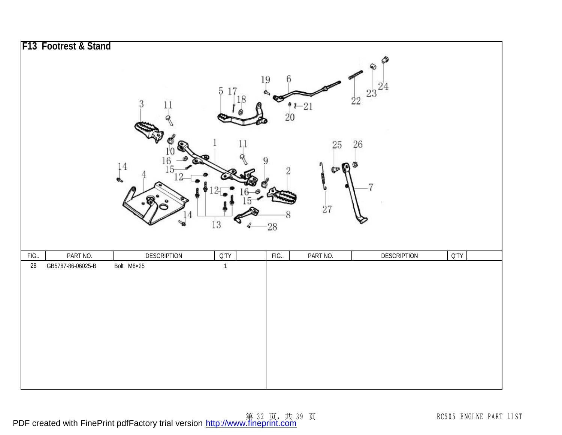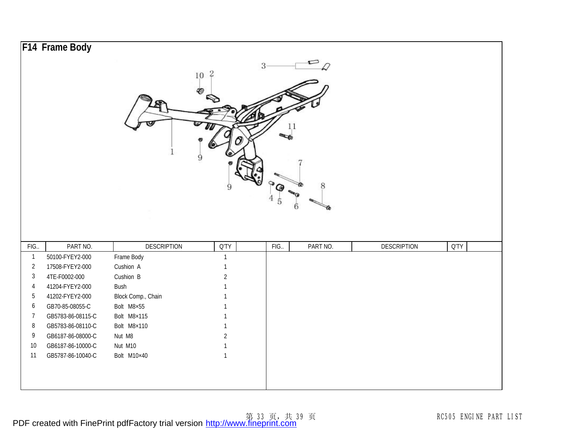|                         | F14 Frame Body    |                    |                |      |          |                    |      |
|-------------------------|-------------------|--------------------|----------------|------|----------|--------------------|------|
|                         |                   |                    | $10^{2}$       | 3    | 8<br>6   |                    |      |
| FIG.                    | PART NO.          | <b>DESCRIPTION</b> | <b>Q'TY</b>    | FIG. | PART NO. | <b>DESCRIPTION</b> | Q'TY |
| $\overline{\mathbf{1}}$ | 50100-FYEY2-000   | Frame Body         | $\mathbf{1}$   |      |          |                    |      |
| $\overline{2}$          | 17508-FYEY2-000   | Cushion A          | 1              |      |          |                    |      |
| $\mathbf{3}$            | 4TE-F0002-000     | Cushion B          | $\overline{2}$ |      |          |                    |      |
| $\overline{4}$          | 41204-FYEY2-000   | Bush               | 1              |      |          |                    |      |
| 5                       | 41202-FYEY2-000   | Block Comp., Chain |                |      |          |                    |      |
| 6                       | GB70-85-08055-C   | Bolt M8×55         |                |      |          |                    |      |
| 7                       | GB5783-86-08115-C | Bolt M8×115        | $\mathbf{1}$   |      |          |                    |      |
| $\, 8$                  | GB5783-86-08110-C | Bolt M8×110        | $\mathbf{1}$   |      |          |                    |      |
| 9                       | GB6187-86-08000-C | Nut M8             | $\overline{2}$ |      |          |                    |      |
| 10                      | GB6187-86-10000-C | Nut M10            | 1              |      |          |                    |      |
| 11                      | GB5787-86-10040-C | Bolt M10×40        | $\mathbf{1}$   |      |          |                    |      |
|                         |                   |                    |                |      |          |                    |      |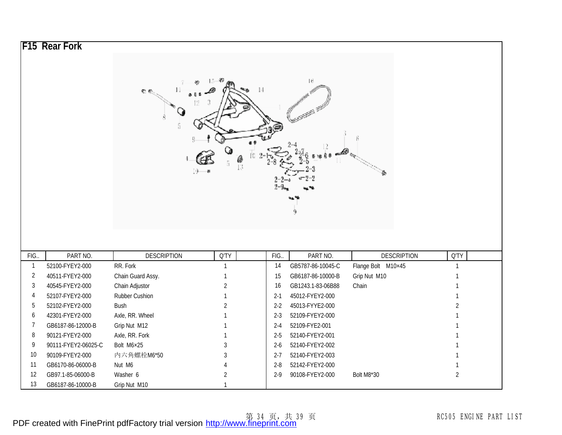|                | <b>F15 Rear Fork</b> |                    |                |         |                   |                    |                |
|----------------|----------------------|--------------------|----------------|---------|-------------------|--------------------|----------------|
|                |                      |                    |                |         |                   |                    |                |
|                |                      |                    |                |         |                   |                    |                |
|                |                      |                    |                |         | Ι6                |                    |                |
|                |                      | 雲船                 | 14             |         |                   |                    |                |
|                |                      |                    |                |         |                   |                    |                |
|                |                      |                    |                |         |                   |                    |                |
|                |                      |                    |                |         |                   |                    |                |
|                |                      |                    |                |         |                   |                    |                |
|                |                      |                    |                |         |                   |                    |                |
|                |                      |                    |                |         |                   |                    |                |
|                |                      |                    | l9-            |         |                   |                    |                |
|                |                      |                    |                |         |                   |                    |                |
|                |                      |                    |                |         |                   |                    |                |
|                |                      |                    |                |         |                   |                    |                |
|                |                      |                    |                |         |                   |                    |                |
|                |                      |                    |                |         |                   |                    |                |
|                |                      |                    |                |         |                   |                    |                |
| FIG.           | PART NO.             | <b>DESCRIPTION</b> | Q'TY           | FIG.    | PART NO.          | <b>DESCRIPTION</b> | Q'TY           |
| $\mathbf{1}$   | 52100-FYEY2-000      | RR. Fork           | $\mathbf{1}$   | 14      | GB5787-86-10045-C | Flange Bolt M10×45 | $\mathbf{1}$   |
| $\overline{2}$ | 40511-FYEY2-000      | Chain Guard Assy.  | 1              | 15      | GB6187-86-10000-B | Grip Nut M10       | 1              |
| 3              | 40545-FYEY2-000      | Chain Adjustor     | $\overline{2}$ | 16      | GB1243.1-83-06B88 | Chain              |                |
| $\overline{4}$ | 52107-FYEY2-000      | Rubber Cushion     | $\mathbf{1}$   | $2 - 1$ | 45012-FYEY2-000   |                    | 1              |
| 5              | 52102-FYEY2-000      | Bush               | $\overline{2}$ | $2 - 2$ | 45013-FYYE2-000   |                    | $\overline{2}$ |
| 6              | 42301-FYEY2-000      | Axle, RR. Wheel    |                | $2 - 3$ | 52109-FYEY2-000   |                    |                |
|                |                      |                    |                |         |                   |                    |                |
| $\overline{7}$ | GB6187-86-12000-B    | Grip Nut M12       |                | $2 - 4$ | 52109-FYE2-001    |                    |                |
| 8              | 90121-FYEY2-000      | Axle, RR. Fork     |                | $2 - 5$ | 52140-FYEY2-001   |                    |                |
| 9              | 90111-FYEY2-06025-C  | Bolt M6×25         | 3              | $2-6$   | 52140-FYEY2-002   |                    |                |
| 10             | 90109-FYEY2-000      | 内六角螺栓M6*50         | 3              | $2 - 7$ | 52140-FYEY2-003   |                    |                |
| 11             | GB6170-86-06000-B    | Nut M6             |                | $2 - 8$ | 52142-FYEY2-000   |                    |                |
| 12             | GB97.1-85-06000-B    | Washer 6           | $\overline{2}$ | $2 - 9$ | 90108-FYEY2-000   | Bolt M8*30         | $\overline{2}$ |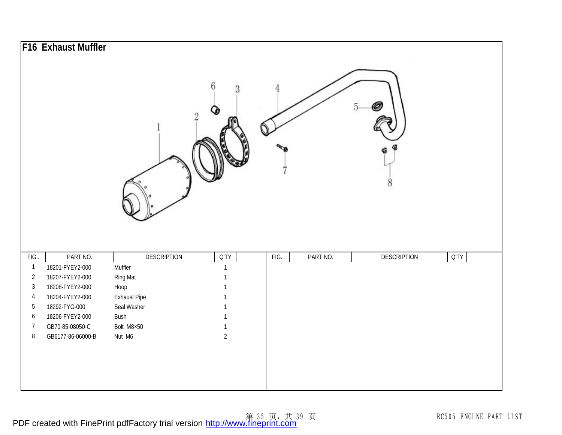|                |                   |                     | 6<br>3         | h                | 8                  |             |
|----------------|-------------------|---------------------|----------------|------------------|--------------------|-------------|
|                |                   |                     |                |                  |                    |             |
| FIG.           | PART NO.          | <b>DESCRIPTION</b>  | <b>Q'TY</b>    | PART NO.<br>FIG. | <b>DESCRIPTION</b> | <b>Q'TY</b> |
| $\overline{1}$ | 18201-FYEY2-000   | Muffler             | $\mathbf{1}$   |                  |                    |             |
| $\overline{2}$ | 18207-FYEY2-000   | Ring Mat            | $\mathbf{1}$   |                  |                    |             |
| $\mathfrak{Z}$ | 18208-FYEY2-000   | Hoop                | 1              |                  |                    |             |
| $\overline{4}$ | 18204-FYEY2-000   | <b>Exhaust Pipe</b> | $\mathbf{1}$   |                  |                    |             |
| 5              | 18292-FYG-000     | Seal Washer         | $\mathbf{1}$   |                  |                    |             |
| 6              | 18206-FYEY2-000   | Bush                | $\mathbf{1}$   |                  |                    |             |
| $\overline{7}$ | GB70-85-08050-C   | Bolt M8×50          | $\mathbf{1}$   |                  |                    |             |
| $\, 8$         | GB6177-86-06000-B | Nut M6              | $\overline{2}$ |                  |                    |             |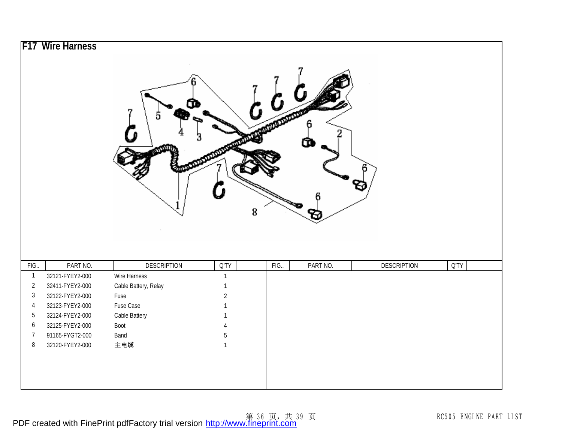|                          |                                    |                      |                                | 8   |          |                    |             |
|--------------------------|------------------------------------|----------------------|--------------------------------|-----|----------|--------------------|-------------|
|                          | PART NO.                           | <b>DESCRIPTION</b>   | Q'TY                           | FIG | PART NO. | <b>DESCRIPTION</b> | <b>Q'TY</b> |
| FIG                      |                                    |                      | $\mathbf{1}$                   |     |          |                    |             |
| $\mathbf{1}$             | 32121-FYEY2-000                    | Wire Harness         |                                |     |          |                    |             |
| $\overline{2}$           | 32411-FYEY2-000                    | Cable Battery, Relay | $\mathbf{1}$                   |     |          |                    |             |
| $\sqrt{3}$               | 32122-FYEY2-000                    | Fuse                 | $\overline{2}$                 |     |          |                    |             |
| $\overline{4}$           | 32123-FYEY2-000                    | Fuse Case            | $\mathbf{1}$                   |     |          |                    |             |
| $\overline{5}$           | 32124-FYEY2-000                    | Cable Battery        | $\mathbf{1}$                   |     |          |                    |             |
| $\boldsymbol{6}$         | 32125-FYEY2-000                    | Boot                 | 4                              |     |          |                    |             |
| $\overline{7}$<br>$\, 8$ | 91165-FYGT2-000<br>32120-FYEY2-000 | Band<br>主电缆          | $\overline{5}$<br>$\mathbf{1}$ |     |          |                    |             |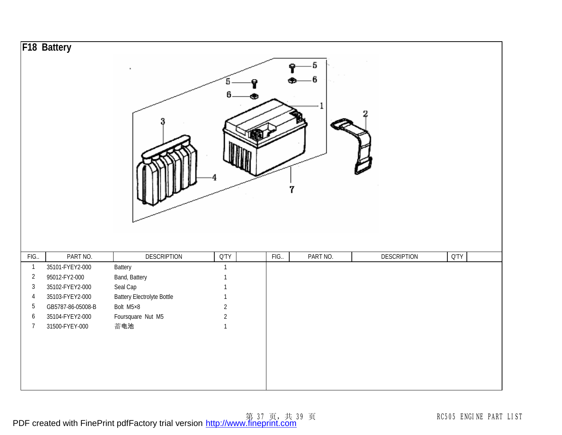|                         | F18 Battery       |                                   | 5<br>6         | 7    | 5        |                    |      |
|-------------------------|-------------------|-----------------------------------|----------------|------|----------|--------------------|------|
| FIG.                    | PART NO.          | <b>DESCRIPTION</b>                | <b>Q'TY</b>    | FIG. | PART NO. | <b>DESCRIPTION</b> | Q'TY |
| $\overline{\mathbf{1}}$ | 35101-FYEY2-000   | Battery                           | $\mathbf{1}$   |      |          |                    |      |
| $\sqrt{2}$              | 95012-FY2-000     | Band, Battery                     |                |      |          |                    |      |
| $\sqrt{3}$              | 35102-FYEY2-000   | Seal Cap                          | 1              |      |          |                    |      |
| $\overline{4}$          | 35103-FYEY2-000   | <b>Battery Electrolyte Bottle</b> | 1              |      |          |                    |      |
| $\mathbf 5$             | GB5787-86-05008-B | Bolt M5×8                         | $\sqrt{2}$     |      |          |                    |      |
| $\boldsymbol{6}$        | 35104-FYEY2-000   | Foursquare Nut M5                 | $\overline{2}$ |      |          |                    |      |
| $\overline{7}$          | 31500-FYEY-000    | 蓄电池                               | $\mathbf{1}$   |      |          |                    |      |
|                         |                   |                                   |                |      |          |                    |      |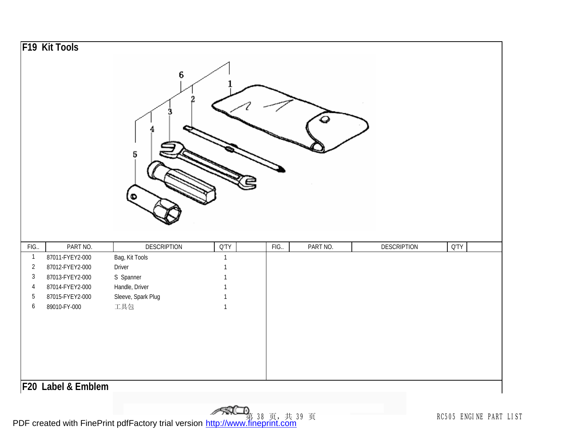|                         | F19 Kit Tools      | 6<br>5             |                 |      |          |                    |             |  |
|-------------------------|--------------------|--------------------|-----------------|------|----------|--------------------|-------------|--|
| FIG.                    | PART NO.           | <b>DESCRIPTION</b> | $Q^{\dagger}TY$ | FIG. | PART NO. | <b>DESCRIPTION</b> | <b>Q'TY</b> |  |
| $\overline{\mathbf{1}}$ | 87011-FYEY2-000    | Bag, Kit Tools     | $\mathbf{1}$    |      |          |                    |             |  |
| $\sqrt{2}$              | 87012-FYEY2-000    | Driver             | 1               |      |          |                    |             |  |
| $\sqrt{3}$              | 87013-FYEY2-000    | S Spanner          |                 |      |          |                    |             |  |
| $\overline{4}$          | 87014-FYEY2-000    | Handle, Driver     | 1               |      |          |                    |             |  |
| $\sqrt{5}$              | 87015-FYEY2-000    | Sleeve, Spark Plug | $\mathbf{1}$    |      |          |                    |             |  |
| $\boldsymbol{6}$        | 89010-FY-000       | 工具包                | $\mathbf{1}$    |      |          |                    |             |  |
|                         | F20 Label & Emblem |                    |                 |      |          |                    |             |  |